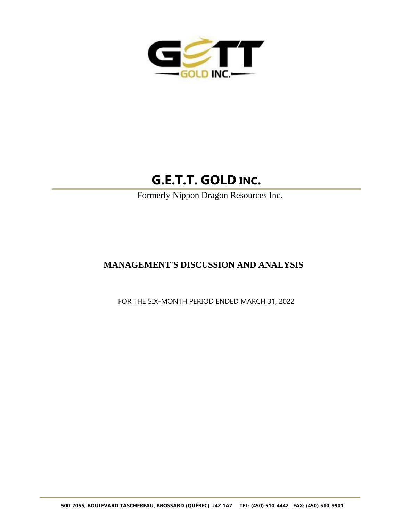

# **G.E.T.T. GOLD INC.**

Formerly Nippon Dragon Resources Inc.

## **MANAGEMENT'S DISCUSSION AND ANALYSIS**

FOR THE SIX-MONTH PERIOD ENDED MARCH 31, 2022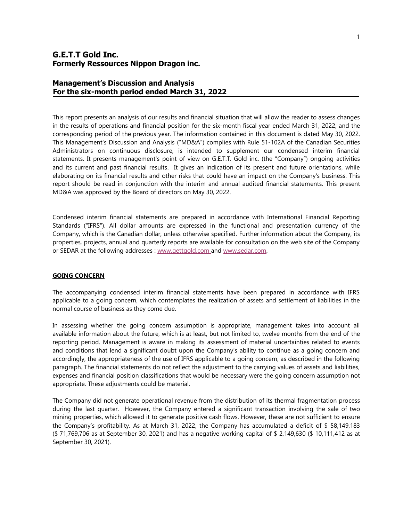## **Management's Discussion and Analysis For the six-month period ended March 31, 2022**

This report presents an analysis of our results and financial situation that will allow the reader to assess changes in the results of operations and financial position for the six-month fiscal year ended March 31, 2022, and the corresponding period of the previous year. The information contained in this document is dated May 30, 2022. This Management's Discussion and Analysis ("MD&A") complies with Rule 51-102A of the Canadian Securities Administrators on continuous disclosure, is intended to supplement our condensed interim financial statements. It presents management's point of view on G.E.T.T. Gold inc. (the "Company") ongoing activities and its current and past financial results. It gives an indication of its present and future orientations, while elaborating on its financial results and other risks that could have an impact on the Company's business. This report should be read in conjunction with the interim and annual audited financial statements. This present MD&A was approved by the Board of directors on May 30, 2022.

Condensed interim financial statements are prepared in accordance with International Financial Reporting Standards ("IFRS"). All dollar amounts are expressed in the functional and presentation currency of the Company, which is the Canadian dollar, unless otherwise specified. Further information about the Company, its properties, projects, annual and quarterly reports are available for consultation on the web site of the Company or SEDAR at the following addresses : www.gettgold.com and [www.sedar.com.](http://www.sedar.com/)

#### **GOING CONCERN**

The accompanying condensed interim financial statements have been prepared in accordance with IFRS applicable to a going concern, which contemplates the realization of assets and settlement of liabilities in the normal course of business as they come due.

In assessing whether the going concern assumption is appropriate, management takes into account all available information about the future, which is at least, but not limited to, twelve months from the end of the reporting period. Management is aware in making its assessment of material uncertainties related to events and conditions that lend a significant doubt upon the Company's ability to continue as a going concern and accordingly, the appropriateness of the use of IFRS applicable to a going concern, as described in the following paragraph. The financial statements do not reflect the adjustment to the carrying values of assets and liabilities, expenses and financial position classifications that would be necessary were the going concern assumption not appropriate. These adjustments could be material.

The Company did not generate operational revenue from the distribution of its thermal fragmentation process during the last quarter. However, the Company entered a significant transaction involving the sale of two mining properties, which allowed it to generate positive cash flows. However, these are not sufficient to ensure the Company's profitability. As at March 31, 2022, the Company has accumulated a deficit of \$ 58,149,183 (\$ 71,769,706 as at September 30, 2021) and has a negative working capital of \$ 2,149,630 (\$ 10,111,412 as at September 30, 2021).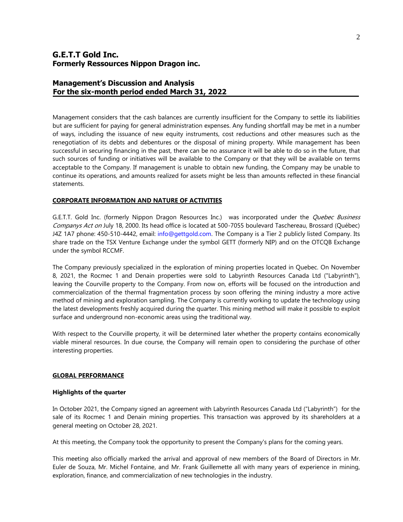## **Management's Discussion and Analysis For the six-month period ended March 31, 2022**

Management considers that the cash balances are currently insufficient for the Company to settle its liabilities but are sufficient for paying for general administration expenses. Any funding shortfall may be met in a number of ways, including the issuance of new equity instruments, cost reductions and other measures such as the renegotiation of its debts and debentures or the disposal of mining property. While management has been successful in securing financing in the past, there can be no assurance it will be able to do so in the future, that such sources of funding or initiatives will be available to the Company or that they will be available on terms acceptable to the Company. If management is unable to obtain new funding, the Company may be unable to continue its operations, and amounts realized for assets might be less than amounts reflected in these financial statements.

#### **CORPORATE INFORMATION AND NATURE OF ACTIVITIES**

G.E.T.T. Gold Inc. (formerly Nippon Dragon Resources Inc.) was incorporated under the *Quebec Business* Companys Act on July 18, 2000. Its head office is located at 500-7055 boulevard Taschereau, Brossard (Québec) J4Z 1A7 phone: 450-510-4442, email: info@gettgold.com. The Company is a Tier 2 publicly listed Company. Its share trade on the TSX Venture Exchange under the symbol GETT (formerly NIP) and on the OTCQB Exchange under the symbol RCCMF.

The Company previously specialized in the exploration of mining properties located in Quebec. On November 8, 2021, the Rocmec 1 and Denain properties were sold to Labyrinth Resources Canada Ltd ("Labyrinth"), leaving the Courville property to the Company. From now on, efforts will be focused on the introduction and commercialization of the thermal fragmentation process by soon offering the mining industry a more active method of mining and exploration sampling. The Company is currently working to update the technology using the latest developments freshly acquired during the quarter. This mining method will make it possible to exploit surface and underground non-economic areas using the traditional way.

With respect to the Courville property, it will be determined later whether the property contains economically viable mineral resources. In due course, the Company will remain open to considering the purchase of other interesting properties.

#### **GLOBAL PERFORMANCE**

#### **Highlights of the quarter**

In October 2021, the Company signed an agreement with Labyrinth Resources Canada Ltd ("Labyrinth") for the sale of its Rocmec 1 and Denain mining properties. This transaction was approved by its shareholders at a general meeting on October 28, 2021.

At this meeting, the Company took the opportunity to present the Company's plans for the coming years.

This meeting also officially marked the arrival and approval of new members of the Board of Directors in Mr. Euler de Souza, Mr. Michel Fontaine, and Mr. Frank Guillemette all with many years of experience in mining, exploration, finance, and commercialization of new technologies in the industry.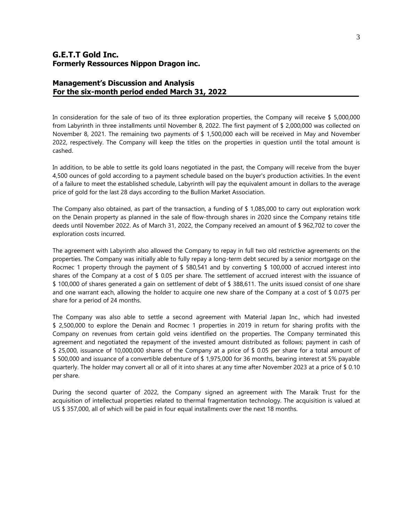## **Management's Discussion and Analysis For the six-month period ended March 31, 2022**

In consideration for the sale of two of its three exploration properties, the Company will receive \$ 5,000,000 from Labyrinth in three installments until November 8, 2022. The first payment of \$ 2,000,000 was collected on November 8, 2021. The remaining two payments of \$ 1,500,000 each will be received in May and November 2022, respectively. The Company will keep the titles on the properties in question until the total amount is cashed.

In addition, to be able to settle its gold loans negotiated in the past, the Company will receive from the buyer 4,500 ounces of gold according to a payment schedule based on the buyer's production activities. In the event of a failure to meet the established schedule, Labyrinth will pay the equivalent amount in dollars to the average price of gold for the last 28 days according to the Bullion Market Association.

The Company also obtained, as part of the transaction, a funding of \$ 1,085,000 to carry out exploration work on the Denain property as planned in the sale of flow-through shares in 2020 since the Company retains title deeds until November 2022. As of March 31, 2022, the Company received an amount of \$ 962,702 to cover the exploration costs incurred.

The agreement with Labyrinth also allowed the Company to repay in full two old restrictive agreements on the properties. The Company was initially able to fully repay a long-term debt secured by a senior mortgage on the Rocmec 1 property through the payment of  $$580,541$  and by converting  $$100,000$  of accrued interest into shares of the Company at a cost of \$ 0.05 per share. The settlement of accrued interest with the issuance of \$ 100,000 of shares generated a gain on settlement of debt of \$ 388,611. The units issued consist of one share and one warrant each, allowing the holder to acquire one new share of the Company at a cost of \$ 0.075 per share for a period of 24 months.

The Company was also able to settle a second agreement with Material Japan Inc., which had invested \$ 2,500,000 to explore the Denain and Rocmec 1 properties in 2019 in return for sharing profits with the Company on revenues from certain gold veins identified on the properties. The Company terminated this agreement and negotiated the repayment of the invested amount distributed as follows; payment in cash of \$ 25,000, issuance of 10,000,000 shares of the Company at a price of \$ 0.05 per share for a total amount of \$ 500,000 and issuance of a convertible debenture of \$ 1,975,000 for 36 months, bearing interest at 5% payable quarterly. The holder may convert all or all of it into shares at any time after November 2023 at a price of \$ 0.10 per share.

During the second quarter of 2022, the Company signed an agreement with The Maraik Trust for the acquisition of intellectual properties related to thermal fragmentation technology. The acquisition is valued at US \$ 357,000, all of which will be paid in four equal installments over the next 18 months.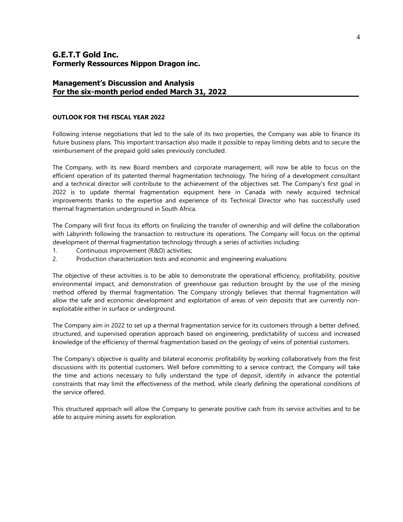## **Management's Discussion and Analysis For the six-month period ended March 31, 2022**

#### **OUTLOOK FOR THE FISCAL YEAR 2022**

Following intense negotiations that led to the sale of its two properties, the Company was able to finance its future business plans. This important transaction also made it possible to repay limiting debts and to secure the reimbursement of the prepaid gold sales previously concluded.

The Company, with its new Board members and corporate management, will now be able to focus on the efficient operation of its patented thermal fragmentation technology. The hiring of a development consultant and a technical director will contribute to the achievement of the objectives set. The Company's first goal in 2022 is to update thermal fragmentation equipment here in Canada with newly acquired technical improvements thanks to the expertise and experience of its Technical Director who has successfully used thermal fragmentation underground in South Africa.

The Company will first focus its efforts on finalizing the transfer of ownership and will define the collaboration with Labyrinth following the transaction to restructure its operations. The Company will focus on the optimal development of thermal fragmentation technology through a series of activities including:

- 1. Continuous improvement (R&D) activities;
- 2. Production characterization tests and economic and engineering evaluations

The objective of these activities is to be able to demonstrate the operational efficiency, profitability, positive environmental impact, and demonstration of greenhouse gas reduction brought by the use of the mining method offered by thermal fragmentation. The Company strongly believes that thermal fragmentation will allow the safe and economic development and exploitation of areas of vein deposits that are currently nonexploitable either in surface or underground.

The Company aim in 2022 to set up a thermal fragmentation service for its customers through a better defined, structured, and supervised operation approach based on engineering, predictability of success and increased knowledge of the efficiency of thermal fragmentation based on the geology of veins of potential customers.

The Company's objective is quality and bilateral economic profitability by working collaboratively from the first discussions with its potential customers. Well before committing to a service contract, the Company will take the time and actions necessary to fully understand the type of deposit, identify in advance the potential constraints that may limit the effectiveness of the method, while clearly defining the operational conditions of the service offered.

This structured approach will allow the Company to generate positive cash from its service activities and to be able to acquire mining assets for exploration.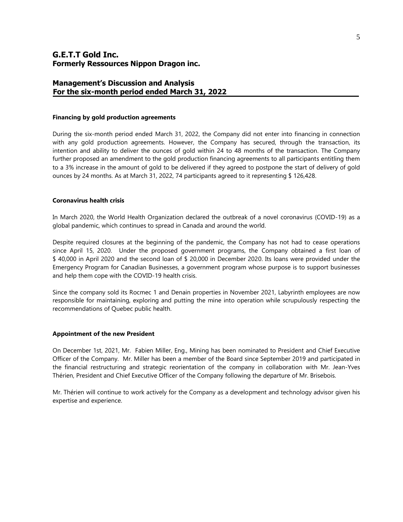## **Management's Discussion and Analysis For the six-month period ended March 31, 2022**

#### **Financing by gold production agreements**

During the six-month period ended March 31, 2022, the Company did not enter into financing in connection with any gold production agreements. However, the Company has secured, through the transaction, its intention and ability to deliver the ounces of gold within 24 to 48 months of the transaction. The Company further proposed an amendment to the gold production financing agreements to all participants entitling them to a 3% increase in the amount of gold to be delivered if they agreed to postpone the start of delivery of gold ounces by 24 months. As at March 31, 2022, 74 participants agreed to it representing \$ 126,428.

#### **Coronavirus health crisis**

In March 2020, the World Health Organization declared the outbreak of a novel coronavirus (COVID-19) as a global pandemic, which continues to spread in Canada and around the world.

Despite required closures at the beginning of the pandemic, the Company has not had to cease operations since April 15, 2020. Under the proposed government programs, the Company obtained a first loan of \$ 40,000 in April 2020 and the second loan of \$ 20,000 in December 2020. Its loans were provided under the Emergency Program for Canadian Businesses, a government program whose purpose is to support businesses and help them cope with the COVID-19 health crisis.

Since the company sold its Rocmec 1 and Denain properties in November 2021, Labyrinth employees are now responsible for maintaining, exploring and putting the mine into operation while scrupulously respecting the recommendations of Quebec public health.

#### **Appointment of the new President**

On December 1st, 2021, Mr. Fabien Miller, Eng., Mining has been nominated to President and Chief Executive Officer of the Company. Mr. Miller has been a member of the Board since September 2019 and participated in the financial restructuring and strategic reorientation of the company in collaboration with Mr. Jean-Yves Thérien, President and Chief Executive Officer of the Company following the departure of Mr. Brisebois.

Mr. Thérien will continue to work actively for the Company as a development and technology advisor given his expertise and experience.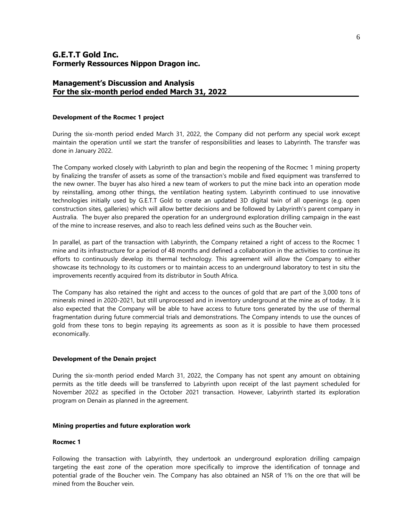#### **Management's Discussion and Analysis For the six-month period ended March 31, 2022**

#### **Development of the Rocmec 1 project**

During the six-month period ended March 31, 2022, the Company did not perform any special work except maintain the operation until we start the transfer of responsibilities and leases to Labyrinth. The transfer was done in January 2022.

The Company worked closely with Labyrinth to plan and begin the reopening of the Rocmec 1 mining property by finalizing the transfer of assets as some of the transaction's mobile and fixed equipment was transferred to the new owner. The buyer has also hired a new team of workers to put the mine back into an operation mode by reinstalling, among other things, the ventilation heating system. Labyrinth continued to use innovative technologies initially used by G.E.T.T Gold to create an updated 3D digital twin of all openings (e.g. open construction sites, galleries) which will allow better decisions and be followed by Labyrinth's parent company in Australia. The buyer also prepared the operation for an underground exploration drilling campaign in the east of the mine to increase reserves, and also to reach less defined veins such as the Boucher vein.

In parallel, as part of the transaction with Labyrinth, the Company retained a right of access to the Rocmec 1 mine and its infrastructure for a period of 48 months and defined a collaboration in the activities to continue its efforts to continuously develop its thermal technology. This agreement will allow the Company to either showcase its technology to its customers or to maintain access to an underground laboratory to test in situ the improvements recently acquired from its distributor in South Africa.

The Company has also retained the right and access to the ounces of gold that are part of the 3,000 tons of minerals mined in 2020-2021, but still unprocessed and in inventory underground at the mine as of today. It is also expected that the Company will be able to have access to future tons generated by the use of thermal fragmentation during future commercial trials and demonstrations. The Company intends to use the ounces of gold from these tons to begin repaying its agreements as soon as it is possible to have them processed economically.

#### **Development of the Denain project**

During the six-month period ended March 31, 2022, the Company has not spent any amount on obtaining permits as the title deeds will be transferred to Labyrinth upon receipt of the last payment scheduled for November 2022 as specified in the October 2021 transaction. However, Labyrinth started its exploration program on Denain as planned in the agreement.

#### **Mining properties and future exploration work**

#### **Rocmec 1**

Following the transaction with Labyrinth, they undertook an underground exploration drilling campaign targeting the east zone of the operation more specifically to improve the identification of tonnage and potential grade of the Boucher vein. The Company has also obtained an NSR of 1% on the ore that will be mined from the Boucher vein.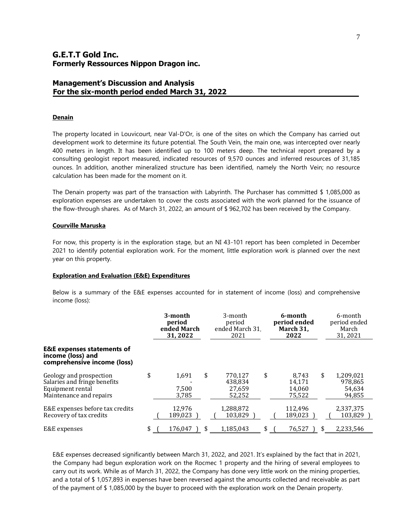## **Management's Discussion and Analysis For the six-month period ended March 31, 2022**

#### **Denain**

The property located in Louvicourt, near Val-D'Or, is one of the sites on which the Company has carried out development work to determine its future potential. The South Vein, the main one, was intercepted over nearly 400 meters in length. It has been identified up to 100 meters deep. The technical report prepared by a consulting geologist report measured, indicated resources of 9,570 ounces and inferred resources of 31,185 ounces. In addition, another mineralized structure has been identified, namely the North Vein; no resource calculation has been made for the moment on it.

The Denain property was part of the transaction with Labyrinth. The Purchaser has committed \$ 1,085,000 as exploration expenses are undertaken to cover the costs associated with the work planned for the issuance of the flow-through shares. As of March 31, 2022, an amount of \$ 962,702 has been received by the Company.

#### **Courville Maruska**

For now, this property is in the exploration stage, but an NI 43-101 report has been completed in December 2021 to identify potential exploration work. For the moment, little exploration work is planned over the next year on this property.

#### **Exploration and Evaluation (E&E) Expenditures**

Below is a summary of the E&E expenses accounted for in statement of income (loss) and comprehensive income (loss):

|                                                                                                        | 3-month<br>period<br>ended March<br>31, 2022 |    | 3-month<br>period<br>ended March 31<br>2021 |    | 6-month<br>period ended<br>March 31,<br>2022 |    | 6-month<br>period ended<br>March<br>31, 2021 |
|--------------------------------------------------------------------------------------------------------|----------------------------------------------|----|---------------------------------------------|----|----------------------------------------------|----|----------------------------------------------|
| <b>E&amp;E</b> expenses statements of<br>income (loss) and<br>comprehensive income (loss)              |                                              |    |                                             |    |                                              |    |                                              |
| Geology and prospection<br>Salaries and fringe benefits<br>Equipment rental<br>Maintenance and repairs | \$<br>1,691<br>7.500<br>3,785                | \$ | 770,127<br>438,834<br>27,659<br>52,252      | \$ | 8.743<br>14,171<br>14,060<br>75,522          | \$ | 1,209,021<br>978,865<br>54,634<br>94,855     |
| E&E expenses before tax credits<br>Recovery of tax credits                                             | 12,976<br>189.023                            |    | 1,288,872<br>103.829                        |    | 112.496<br>189.023                           |    | 2,337,375<br>103,829                         |
| E&E expenses                                                                                           | \$<br>176,047                                | \$ | 1,185,043                                   | \$ | 76,527                                       |    | 2,233,546                                    |

E&E expenses decreased significantly between March 31, 2022, and 2021. It's explained by the fact that in 2021, the Company had begun exploration work on the Rocmec 1 property and the hiring of several employees to carry out its work. While as of March 31, 2022, the Company has done very little work on the mining properties, and a total of \$ 1,057,893 in expenses have been reversed against the amounts collected and receivable as part of the payment of \$ 1,085,000 by the buyer to proceed with the exploration work on the Denain property.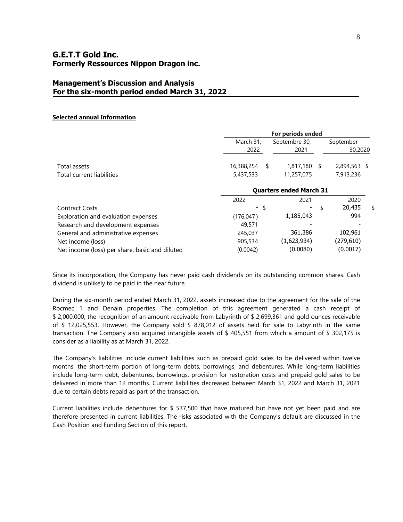## **Management's Discussion and Analysis For the six-month period ended March 31, 2022**

#### **Selected annual Information**

|                                                | For periods ended              |   |                |    |              |    |
|------------------------------------------------|--------------------------------|---|----------------|----|--------------|----|
|                                                | March 31,                      |   | Septembre 30,  |    | September    |    |
|                                                | 2022                           |   | 2021           |    | 30,2020      |    |
| Total assets                                   | 16,388,254                     | S | $1,817,180$ \$ |    | 2,894,563 \$ |    |
| Total current liabilities                      | 5,437,533                      |   | 11,257,075     |    | 7,913,236    |    |
|                                                | <b>Quarters ended March 31</b> |   |                |    |              |    |
|                                                | 2022                           |   | 2021           |    | 2020         |    |
| <b>Contract Costs</b>                          | - \$                           |   |                | \$ | 20,435       | \$ |
| Exploration and evaluation expenses            | (176, 047)                     |   | 1,185,043      |    | 994          |    |
| Research and development expenses              | 49,571                         |   |                |    |              |    |
| General and administrative expenses            | 245,037                        |   | 361,386        |    | 102,961      |    |
| Net income (loss)                              | 905,534                        |   | (1,623,934)    |    | (279,610)    |    |
| Net income (loss) per share, basic and diluted | (0.0042)                       |   | (0.0080)       |    | (0.0017)     |    |

Since its incorporation, the Company has never paid cash dividends on its outstanding common shares. Cash dividend is unlikely to be paid in the near future.

During the six-month period ended March 31, 2022, assets increased due to the agreement for the sale of the Rocmec 1 and Denain properties. The completion of this agreement generated a cash receipt of \$ 2,000,000, the recognition of an amount receivable from Labyrinth of \$ 2,699,361 and gold ounces receivable of \$ 12,025,553. However, the Company sold \$ 878,012 of assets held for sale to Labyrinth in the same transaction. The Company also acquired intangible assets of \$ 405,551 from which a amount of \$ 302,175 is consider as a liability as at March 31, 2022.

The Company's liabilities include current liabilities such as prepaid gold sales to be delivered within twelve months, the short-term portion of long-term debts, borrowings, and debentures. While long-term liabilities include long-term debt, debentures, borrowings, provision for restoration costs and prepaid gold sales to be delivered in more than 12 months. Current liabilities decreased between March 31, 2022 and March 31, 2021 due to certain debts repaid as part of the transaction.

Current liabilities include debentures for \$ 537,500 that have matured but have not yet been paid and are therefore presented in current liabilities. The risks associated with the Company's default are discussed in the Cash Position and Funding Section of this report.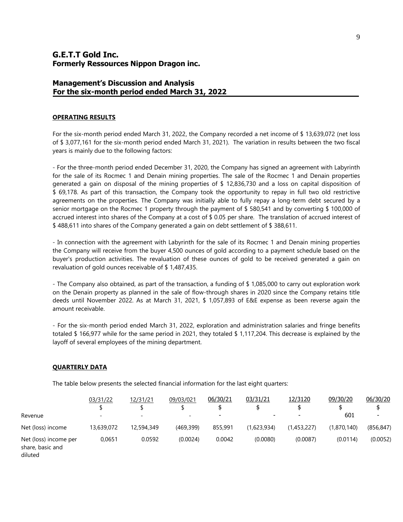## **Management's Discussion and Analysis For the six-month period ended March 31, 2022**

#### **OPERATING RESULTS**

For the six-month period ended March 31, 2022, the Company recorded a net income of \$ 13,639,072 (net loss of \$ 3,077,161 for the six-month period ended March 31, 2021). The variation in results between the two fiscal years is mainly due to the following factors:

- For the three-month period ended December 31, 2020, the Company has signed an agreement with Labyrinth for the sale of its Rocmec 1 and Denain mining properties. The sale of the Rocmec 1 and Denain properties generated a gain on disposal of the mining properties of \$ 12,836,730 and a loss on capital disposition of \$ 69,178. As part of this transaction, the Company took the opportunity to repay in full two old restrictive agreements on the properties. The Company was initially able to fully repay a long-term debt secured by a senior mortgage on the Rocmec 1 property through the payment of \$ 580,541 and by converting \$ 100,000 of accrued interest into shares of the Company at a cost of \$ 0.05 per share. The translation of accrued interest of \$ 488,611 into shares of the Company generated a gain on debt settlement of \$ 388,611.

- In connection with the agreement with Labyrinth for the sale of its Rocmec 1 and Denain mining properties the Company will receive from the buyer 4,500 ounces of gold according to a payment schedule based on the buyer's production activities. The revaluation of these ounces of gold to be received generated a gain on revaluation of gold ounces receivable of \$ 1,487,435.

- The Company also obtained, as part of the transaction, a funding of \$ 1,085,000 to carry out exploration work on the Denain property as planned in the sale of flow-through shares in 2020 since the Company retains title deeds until November 2022. As at March 31, 2021, \$ 1,057,893 of E&E expense as been reverse again the amount receivable.

- For the six-month period ended March 31, 2022, exploration and administration salaries and fringe benefits totaled \$ 166,977 while for the same period in 2021, they totaled \$ 1,117,204. This decrease is explained by the layoff of several employees of the mining department.

#### **QUARTERLY DATA**

The table below presents the selected financial information for the last eight quarters:

|                                                      | 03/31/22                 | 12/31/21                     | 09/03/021  | 06/30/21                 | 03/31/21    | 12/3120                  | 09/30/20    | 06/30/20   |
|------------------------------------------------------|--------------------------|------------------------------|------------|--------------------------|-------------|--------------------------|-------------|------------|
|                                                      |                          |                              |            |                          |             |                          |             |            |
| Revenue                                              | $\overline{\phantom{a}}$ | $\qquad \qquad \blacksquare$ | -          | $\overline{\phantom{0}}$ | -           | $\overline{\phantom{0}}$ | 601         |            |
| Net (loss) income                                    | 13,639,072               | 12,594,349                   | (469, 399) | 855,991                  | (1,623,934) | (1,453,227)              | (1,870,140) | (856, 847) |
| Net (loss) income per<br>share, basic and<br>diluted | 0.0651                   | 0.0592                       | (0.0024)   | 0.0042                   | (0.0080)    | (0.0087)                 | (0.0114)    | (0.0052)   |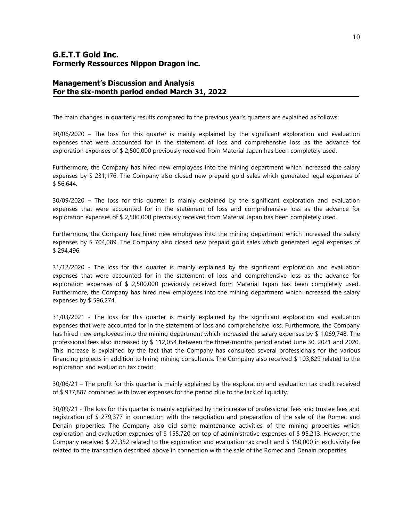## **Management's Discussion and Analysis For the six-month period ended March 31, 2022**

The main changes in quarterly results compared to the previous year's quarters are explained as follows:

30/06/2020 – The loss for this quarter is mainly explained by the significant exploration and evaluation expenses that were accounted for in the statement of loss and comprehensive loss as the advance for exploration expenses of \$ 2,500,000 previously received from Material Japan has been completely used.

Furthermore, the Company has hired new employees into the mining department which increased the salary expenses by \$ 231,176. The Company also closed new prepaid gold sales which generated legal expenses of \$ 56,644.

30/09/2020 – The loss for this quarter is mainly explained by the significant exploration and evaluation expenses that were accounted for in the statement of loss and comprehensive loss as the advance for exploration expenses of \$ 2,500,000 previously received from Material Japan has been completely used.

Furthermore, the Company has hired new employees into the mining department which increased the salary expenses by \$ 704,089. The Company also closed new prepaid gold sales which generated legal expenses of \$ 294,496.

31/12/2020 - The loss for this quarter is mainly explained by the significant exploration and evaluation expenses that were accounted for in the statement of loss and comprehensive loss as the advance for exploration expenses of \$ 2,500,000 previously received from Material Japan has been completely used. Furthermore, the Company has hired new employees into the mining department which increased the salary expenses by \$ 596,274.

31/03/2021 - The loss for this quarter is mainly explained by the significant exploration and evaluation expenses that were accounted for in the statement of loss and comprehensive loss. Furthermore, the Company has hired new employees into the mining department which increased the salary expenses by \$ 1,069,748. The professional fees also increased by \$ 112,054 between the three-months period ended June 30, 2021 and 2020. This increase is explained by the fact that the Company has consulted several professionals for the various financing projects in addition to hiring mining consultants. The Company also received \$ 103,829 related to the exploration and evaluation tax credit.

30/06/21 – The profit for this quarter is mainly explained by the exploration and evaluation tax credit received of \$ 937,887 combined with lower expenses for the period due to the lack of liquidity.

30/09/21 - The loss for this quarter is mainly explained by the increase of professional fees and trustee fees and registration of \$ 279,377 in connection with the negotiation and preparation of the sale of the Romec and Denain properties. The Company also did some maintenance activities of the mining properties which exploration and evaluation expenses of \$ 155,720 on top of administrative expenses of \$ 95,213. However, the Company received \$ 27,352 related to the exploration and evaluation tax credit and \$ 150,000 in exclusivity fee related to the transaction described above in connection with the sale of the Romec and Denain properties.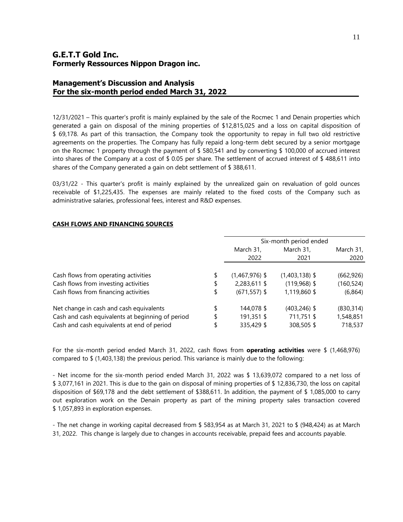## **Management's Discussion and Analysis For the six-month period ended March 31, 2022**

12/31/2021 – This quarter's profit is mainly explained by the sale of the Rocmec 1 and Denain properties which generated a gain on disposal of the mining properties of \$12,815,025 and a loss on capital disposition of \$ 69,178. As part of this transaction, the Company took the opportunity to repay in full two old restrictive agreements on the properties. The Company has fully repaid a long-term debt secured by a senior mortgage on the Rocmec 1 property through the payment of \$ 580,541 and by converting \$ 100,000 of accrued interest into shares of the Company at a cost of \$ 0.05 per share. The settlement of accrued interest of \$ 488,611 into shares of the Company generated a gain on debt settlement of \$ 388,611.

03/31/22 - This quarter's profit is mainly explained by the unrealized gain on revaluation of gold ounces receivable of \$1,225,435. The expenses are mainly related to the fixed costs of the Company such as administrative salaries, professional fees, interest and R&D expenses.

|                                                  | Six-month period ended |                  |            |  |  |
|--------------------------------------------------|------------------------|------------------|------------|--|--|
|                                                  | March 31,              | March 31,        | March 31,  |  |  |
|                                                  | 2022                   | 2021             | 2020       |  |  |
|                                                  |                        |                  |            |  |  |
| Cash flows from operating activities             | \$<br>$(1,467,976)$ \$ | $(1,403,138)$ \$ | (662, 926) |  |  |
| Cash flows from investing activities             | \$<br>2,283,611 \$     | $(119,968)$ \$   | (160, 524) |  |  |
| Cash flows from financing activities             | \$<br>$(671, 557)$ \$  | 1,119,860 \$     | (6,864)    |  |  |
| Net change in cash and cash equivalents          | 144,078 \$             | $(403, 246)$ \$  | (830, 314) |  |  |
| Cash and cash equivalents at beginning of period | \$<br>191,351 \$       | 711,751 \$       | 1,548,851  |  |  |
| Cash and cash equivalents at end of period       | 335,429 \$             | 308,505 \$       | 718,537    |  |  |

#### **CASH FLOWS AND FINANCING SOURCES**

For the six-month period ended March 31, 2022, cash flows from **operating activities** were \$ (1,468,976) compared to \$ (1,403,138) the previous period. This variance is mainly due to the following:

- Net income for the six-month period ended March 31, 2022 was \$ 13,639,072 compared to a net loss of \$ 3,077,161 in 2021. This is due to the gain on disposal of mining properties of \$ 12,836,730, the loss on capital disposition of \$69,178 and the debt settlement of \$388,611. In addition, the payment of \$ 1,085,000 to carry out exploration work on the Denain property as part of the mining property sales transaction covered \$ 1,057,893 in exploration expenses.

- The net change in working capital decreased from \$ 583,954 as at March 31, 2021 to \$ (948,424) as at March 31, 2022. This change is largely due to changes in accounts receivable, prepaid fees and accounts payable.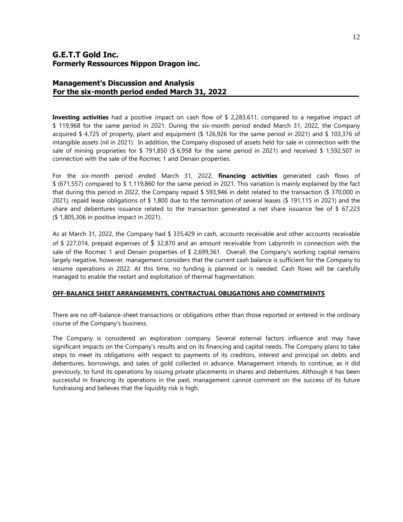## **Management's Discussion and Analysis For the six-month period ended March 31, 2022**

**Investing activities** had a positive impact on cash flow of \$ 2,283,611, compared to a negative impact of \$ 119,968 for the same period in 2021. During the six-month period ended March 31, 2022, the Company acquired \$ 4,725 of property, plant and equipment (\$ 126,926 for the same period in 2021) and \$ 103,376 of intangible assets (nil in 2021). In addition, the Company disposed of assets held for sale in connection with the sale of mining proprieties for \$ 791,850 (\$ 6,958 for the same period in 2021) and received \$ 1,592,507 in connection with the sale of the Rocmec 1 and Denain properties.

For the six-month period ended March 31, 2022, **financing activities** generated cash flows of \$ (671,557) compared to \$ 1,119,860 for the same period in 2021. This variation is mainly explained by the fact that during this period in 2022, the Company repaid \$ 593,946 in debt related to the transaction (\$ 370,000 in 2021), repaid lease obligations of \$ 1,800 due to the termination of several leases (\$ 191,115 in 2021) and the share and debentures issuance related to the transaction generated a net share issuance fee of \$ 67,223 (\$ 1,805,306 in positive impact in 2021).

As at March 31, 2022, the Company had \$ 335,429 in cash, accounts receivable and other accounts receivable of \$ 227,014, prepaid expenses of \$ 32,870 and an amount receivable from Labyrinth in connection with the sale of the Rocmec 1 and Denain properties of  $$2,699,361$ . Overall, the Company's working capital remains largely negative, however, management considers that the current cash balance is sufficient for the Company to resume operations in 2022. At this time, no funding is planned or is needed. Cash flows will be carefully managed to enable the restart and exploitation of thermal fragmentation.

#### **OFF-BALANCE SHEET ARRANGEMENTS, CONTRACTUAL OBLIGATIONS AND COMMITMENTS**

There are no off-balance-sheet transactions or obligations other than those reported or entered in the ordinary course of the Company's business.

The Company is considered an exploration company. Several external factors influence and may have significant impacts on the Company's results and on its financing and capital needs. The Company plans to take steps to meet its obligations with respect to payments of its creditors, interest and principal on debts and debentures, borrowings, and sales of gold collected in advance. Management intends to continue, as it did previously, to fund its operations by issuing private placements in shares and debentures. Although it has been successful in financing its operations in the past, management cannot comment on the success of its future fundraising and believes that the liquidity risk is high.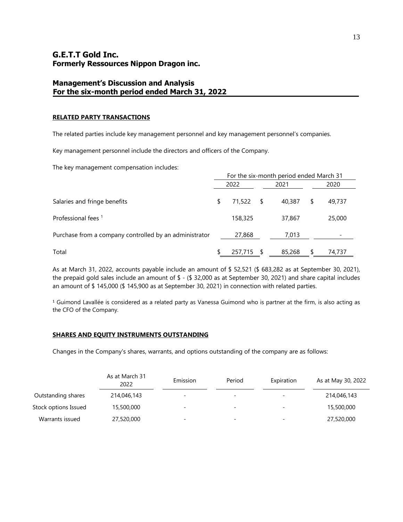## **Management's Discussion and Analysis For the six-month period ended March 31, 2022**

#### **RELATED PARTY TRANSACTIONS**

The related parties include key management personnel and key management personnel's companies.

Key management personnel include the directors and officers of the Company.

The key management compensation includes:

|                                                        | For the six-month period ended March 31 |         |      |        |    |        |
|--------------------------------------------------------|-----------------------------------------|---------|------|--------|----|--------|
|                                                        | 2022                                    |         |      | 2021   |    | 2020   |
| Salaries and fringe benefits                           |                                         | 71,522  | - \$ | 40.387 | \$ | 49,737 |
| Professional fees <sup>1</sup>                         |                                         | 158,325 |      | 37,867 |    | 25,000 |
| Purchase from a company controlled by an administrator |                                         | 27,868  |      | 7,013  |    |        |
| Total                                                  |                                         | 257,715 |      | 85,268 | \$ | 74,737 |

As at March 31, 2022, accounts payable include an amount of \$ 52,521 (\$ 683,282 as at September 30, 2021), the prepaid gold sales include an amount of \$ - (\$ 32,000 as at September 30, 2021) and share capital includes an amount of \$ 145,000 (\$ 145,900 as at September 30, 2021) in connection with related parties.

 $1$  Guimond Lavallée is considered as a related party as Vanessa Guimond who is partner at the firm, is also acting as the CFO of the Company.

#### **SHARES AND EQUITY INSTRUMENTS OUTSTANDING**

Changes in the Company's shares, warrants, and options outstanding of the company are as follows:

|                      | As at March 31<br>2022 | Emission                 | Period                   | Expiration | As at May 30, 2022 |
|----------------------|------------------------|--------------------------|--------------------------|------------|--------------------|
| Outstanding shares   | 214,046,143            | $\overline{\phantom{a}}$ | $\overline{\phantom{a}}$ | -          | 214,046,143        |
| Stock options Issued | 15,500,000             | -                        | $\overline{\phantom{a}}$ | -          | 15,500,000         |
| Warrants issued      | 27,520,000             | -                        | $\overline{\phantom{0}}$ | -          | 27,520,000         |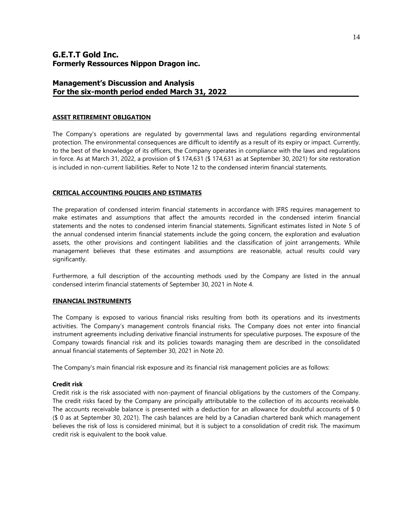## **Management's Discussion and Analysis For the six-month period ended March 31, 2022**

#### **ASSET RETIREMENT OBLIGATION**

The Company's operations are regulated by governmental laws and regulations regarding environmental protection. The environmental consequences are difficult to identify as a result of its expiry or impact. Currently, to the best of the knowledge of its officers, the Company operates in compliance with the laws and regulations in force. As at March 31, 2022, a provision of \$ 174,631 (\$ 174,631 as at September 30, 2021) for site restoration is included in non-current liabilities. Refer to Note 12 to the condensed interim financial statements.

#### **CRITICAL ACCOUNTING POLICIES AND ESTIMATES**

The preparation of condensed interim financial statements in accordance with IFRS requires management to make estimates and assumptions that affect the amounts recorded in the condensed interim financial statements and the notes to condensed interim financial statements. Significant estimates listed in Note 5 of the annual condensed interim financial statements include the going concern, the exploration and evaluation assets, the other provisions and contingent liabilities and the classification of joint arrangements. While management believes that these estimates and assumptions are reasonable, actual results could vary significantly.

Furthermore, a full description of the accounting methods used by the Company are listed in the annual condensed interim financial statements of September 30, 2021 in Note 4.

#### **FINANCIAL INSTRUMENTS**

The Company is exposed to various financial risks resulting from both its operations and its investments activities. The Company's management controls financial risks. The Company does not enter into financial instrument agreements including derivative financial instruments for speculative purposes. The exposure of the Company towards financial risk and its policies towards managing them are described in the consolidated annual financial statements of September 30, 2021 in Note 20.

The Company's main financial risk exposure and its financial risk management policies are as follows:

#### **Credit risk**

Credit risk is the risk associated with non-payment of financial obligations by the customers of the Company. The credit risks faced by the Company are principally attributable to the collection of its accounts receivable. The accounts receivable balance is presented with a deduction for an allowance for doubtful accounts of  $$0$ (\$ 0 as at September 30, 2021). The cash balances are held by a Canadian chartered bank which management believes the risk of loss is considered minimal, but it is subject to a consolidation of credit risk. The maximum credit risk is equivalent to the book value.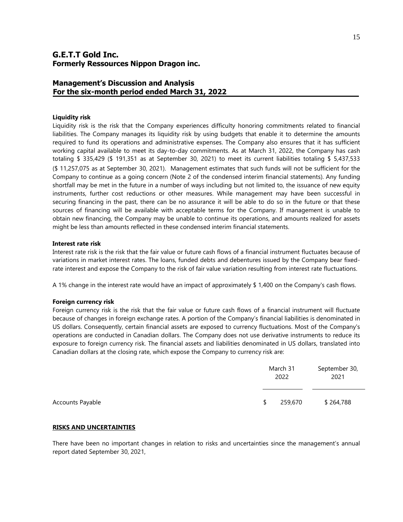## **Management's Discussion and Analysis For the six-month period ended March 31, 2022**

#### **Liquidity risk**

Liquidity risk is the risk that the Company experiences difficulty honoring commitments related to financial liabilities. The Company manages its liquidity risk by using budgets that enable it to determine the amounts required to fund its operations and administrative expenses. The Company also ensures that it has sufficient working capital available to meet its day-to-day commitments. As at March 31, 2022, the Company has cash totaling \$ 335,429 (\$ 191,351 as at September 30, 2021) to meet its current liabilities totaling \$ 5,437,533 (\$ 11,257,075 as at September 30, 2021). Management estimates that such funds will not be sufficient for the Company to continue as a going concern (Note 2 of the condensed interim financial statements). Any funding shortfall may be met in the future in a number of ways including but not limited to, the issuance of new equity instruments, further cost reductions or other measures. While management may have been successful in securing financing in the past, there can be no assurance it will be able to do so in the future or that these sources of financing will be available with acceptable terms for the Company. If management is unable to obtain new financing, the Company may be unable to continue its operations, and amounts realized for assets might be less than amounts reflected in these condensed interim financial statements.

#### **Interest rate risk**

Interest rate risk is the risk that the fair value or future cash flows of a financial instrument fluctuates because of variations in market interest rates. The loans, funded debts and debentures issued by the Company bear fixedrate interest and expose the Company to the risk of fair value variation resulting from interest rate fluctuations.

A 1% change in the interest rate would have an impact of approximately \$ 1,400 on the Company's cash flows.

#### **Foreign currency risk**

Foreign currency risk is the risk that the fair value or future cash flows of a financial instrument will fluctuate because of changes in foreign exchange rates. A portion of the Company's financial liabilities is denominated in US dollars. Consequently, certain financial assets are exposed to currency fluctuations. Most of the Company's operations are conducted in Canadian dollars. The Company does not use derivative instruments to reduce its exposure to foreign currency risk. The financial assets and liabilities denominated in US dollars, translated into Canadian dollars at the closing rate, which expose the Company to currency risk are:

|                  | March 31<br>2022 |         | September 30,<br>2021 |  |
|------------------|------------------|---------|-----------------------|--|
| Accounts Payable | S.               | 259,670 | \$264,788             |  |

#### **RISKS AND UNCERTAINTIES**

There have been no important changes in relation to risks and uncertainties since the management's annual report dated September 30, 2021,